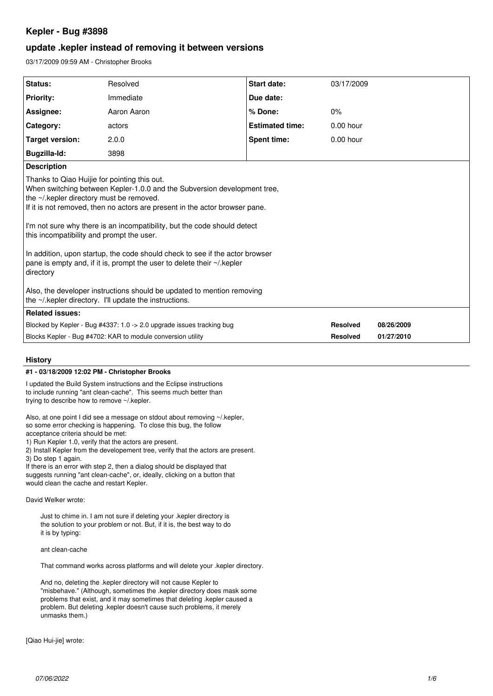# **Kepler - Bug #3898**

# **update .kepler instead of removing it between versions**

03/17/2009 09:59 AM - Christopher Brooks

| Status:                                                                                                                                                                                                                                                                                                                                                                                                                                                                                                                                                                                                                       | Resolved    | <b>Start date:</b>     | 03/17/2009      |            |
|-------------------------------------------------------------------------------------------------------------------------------------------------------------------------------------------------------------------------------------------------------------------------------------------------------------------------------------------------------------------------------------------------------------------------------------------------------------------------------------------------------------------------------------------------------------------------------------------------------------------------------|-------------|------------------------|-----------------|------------|
| <b>Priority:</b>                                                                                                                                                                                                                                                                                                                                                                                                                                                                                                                                                                                                              | Immediate   | Due date:              |                 |            |
| Assignee:                                                                                                                                                                                                                                                                                                                                                                                                                                                                                                                                                                                                                     | Aaron Aaron | % Done:                | 0%              |            |
| <b>Category:</b>                                                                                                                                                                                                                                                                                                                                                                                                                                                                                                                                                                                                              | actors      | <b>Estimated time:</b> | $0.00$ hour     |            |
| Target version:                                                                                                                                                                                                                                                                                                                                                                                                                                                                                                                                                                                                               | 2.0.0       | <b>Spent time:</b>     | $0.00$ hour     |            |
| <b>Bugzilla-Id:</b>                                                                                                                                                                                                                                                                                                                                                                                                                                                                                                                                                                                                           | 3898        |                        |                 |            |
| <b>Description</b>                                                                                                                                                                                                                                                                                                                                                                                                                                                                                                                                                                                                            |             |                        |                 |            |
| Thanks to Qiao Huijie for pointing this out.<br>When switching between Kepler-1.0.0 and the Subversion development tree,<br>the ~/.kepler directory must be removed.<br>If it is not removed, then no actors are present in the actor browser pane.<br>I'm not sure why there is an incompatibility, but the code should detect<br>this incompatibility and prompt the user.<br>In addition, upon startup, the code should check to see if the actor browser<br>pane is empty and, if it is, prompt the user to delete their ~/ kepler<br>directory<br>Also, the developer instructions should be updated to mention removing |             |                        |                 |            |
| the ~/.kepler directory. I'll update the instructions.                                                                                                                                                                                                                                                                                                                                                                                                                                                                                                                                                                        |             |                        |                 |            |
| <b>Related issues:</b>                                                                                                                                                                                                                                                                                                                                                                                                                                                                                                                                                                                                        |             |                        |                 |            |
| Blocked by Kepler - Bug #4337: 1.0 -> 2.0 upgrade issues tracking bug                                                                                                                                                                                                                                                                                                                                                                                                                                                                                                                                                         |             |                        | <b>Resolved</b> | 08/26/2009 |
| Blocks Kepler - Bug #4702: KAR to module conversion utility<br><b>Resolved</b><br>01/27/2010                                                                                                                                                                                                                                                                                                                                                                                                                                                                                                                                  |             |                        |                 |            |

# **History**

### **#1 - 03/18/2009 12:02 PM - Christopher Brooks**

I updated the Build System instructions and the Eclipse instructions to include running "ant clean-cache". This seems much better than trying to describe how to remove ~/.kepler.

Also, at one point I did see a message on stdout about removing ~/.kepler, so some error checking is happening. To close this bug, the follow acceptance criteria should be met:

1) Run Kepler 1.0, verify that the actors are present.

2) Install Kepler from the developement tree, verify that the actors are present.

3) Do step 1 again.

If there is an error with step 2, then a dialog should be displayed that suggests running "ant clean-cache", or, ideally, clicking on a button that would clean the cache and restart Kepler.

David Welker wrote:

Just to chime in. I am not sure if deleting your .kepler directory is the solution to your problem or not. But, if it is, the best way to do it is by typing:

ant clean-cache

That command works across platforms and will delete your .kepler directory.

And no, deleting the .kepler directory will not cause Kepler to "misbehave." (Although, sometimes the .kepler directory does mask some problems that exist, and it may sometimes that deleting .kepler caused a problem. But deleting .kepler doesn't cause such problems, it merely unmasks them.)

[Qiao Hui-jie] wrote: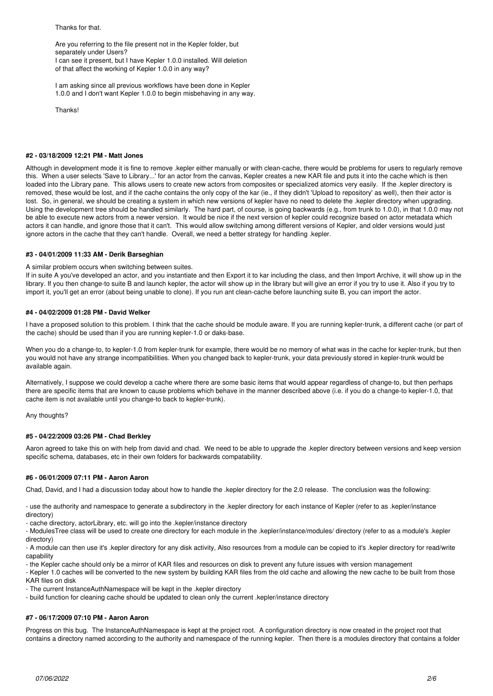Thanks for that.

Are you referring to the file present not in the Kepler folder, but separately under Users? I can see it present, but I have Kepler 1.0.0 installed. Will deletion of that affect the working of Kepler 1.0.0 in any way?

I am asking since all previous workflows have been done in Kepler 1.0.0 and I don't want Kepler 1.0.0 to begin misbehaving in any way.

Thanks!

### **#2 - 03/18/2009 12:21 PM - Matt Jones**

Although in development mode it is fine to remove .kepler either manually or with clean-cache, there would be problems for users to regularly remove this. When a user selects 'Save to Library...' for an actor from the canvas, Kepler creates a new KAR file and puts it into the cache which is then loaded into the Library pane. This allows users to create new actors from composites or specialized atomics very easily. If the .kepler directory is removed, these would be lost, and if the cache contains the only copy of the kar (ie., if they didn't 'Upload to repository' as well), then their actor is lost. So, in general, we should be creating a system in which new versions of kepler have no need to delete the .kepler directory when upgrading. Using the development tree should be handled similarly. The hard part, of course, is going backwards (e.g., from trunk to 1.0.0), in that 1.0.0 may not be able to execute new actors from a newer version. It would be nice if the next version of kepler could recognize based on actor metadata which actors it can handle, and ignore those that it can't. This would allow switching among different versions of Kepler, and older versions would just ignore actors in the cache that they can't handle. Overall, we need a better strategy for handling .kepler.

# **#3 - 04/01/2009 11:33 AM - Derik Barseghian**

#### A similar problem occurs when switching between suites.

If in suite A you've developed an actor, and you instantiate and then Export it to kar including the class, and then Import Archive, it will show up in the library. If you then change-to suite B and launch kepler, the actor will show up in the library but will give an error if you try to use it. Also if you try to import it, you'll get an error (about being unable to clone). If you run ant clean-cache before launching suite B, you can import the actor.

# **#4 - 04/02/2009 01:28 PM - David Welker**

I have a proposed solution to this problem. I think that the cache should be module aware. If you are running kepler-trunk, a different cache (or part of the cache) should be used than if you are running kepler-1.0 or daks-base.

When you do a change-to, to kepler-1.0 from kepler-trunk for example, there would be no memory of what was in the cache for kepler-trunk, but then you would not have any strange incompatibilities. When you changed back to kepler-trunk, your data previously stored in kepler-trunk would be available again.

Alternatively, I suppose we could develop a cache where there are some basic items that would appear regardless of change-to, but then perhaps there are specific items that are known to cause problems which behave in the manner described above (i.e. if you do a change-to kepler-1.0, that cache item is not available until you change-to back to kepler-trunk).

#### Any thoughts?

# **#5 - 04/22/2009 03:26 PM - Chad Berkley**

Aaron agreed to take this on with help from david and chad. We need to be able to upgrade the .kepler directory between versions and keep version specific schema, databases, etc in their own folders for backwards compatability.

# **#6 - 06/01/2009 07:11 PM - Aaron Aaron**

Chad, David, and I had a discussion today about how to handle the .kepler directory for the 2.0 release. The conclusion was the following:

- use the authority and namespace to generate a subdirectory in the .kepler directory for each instance of Kepler (refer to as .kepler/instance directory)

- cache directory, actorLibrary, etc. will go into the .kepler/instance directory

- ModulesTree class will be used to create one directory for each module in the .kepler/instance/modules/ directory (refer to as a module's .kepler directory)

- A module can then use it's .kepler directory for any disk activity, Also resources from a module can be copied to it's .kepler directory for read/write capability

- the Kepler cache should only be a mirror of KAR files and resources on disk to prevent any future issues with version management

- Kepler 1.0 caches will be converted to the new system by building KAR files from the old cache and allowing the new cache to be built from those KAR files on disk

- The current InstanceAuthNamespace will be kept in the .kepler directory

- build function for cleaning cache should be updated to clean only the current .kepler/instance directory

# **#7 - 06/17/2009 07:10 PM - Aaron Aaron**

Progress on this bug. The InstanceAuthNamespace is kept at the project root. A configuration directory is now created in the project root that contains a directory named according to the authority and namespace of the running kepler. Then there is a modules directory that contains a folder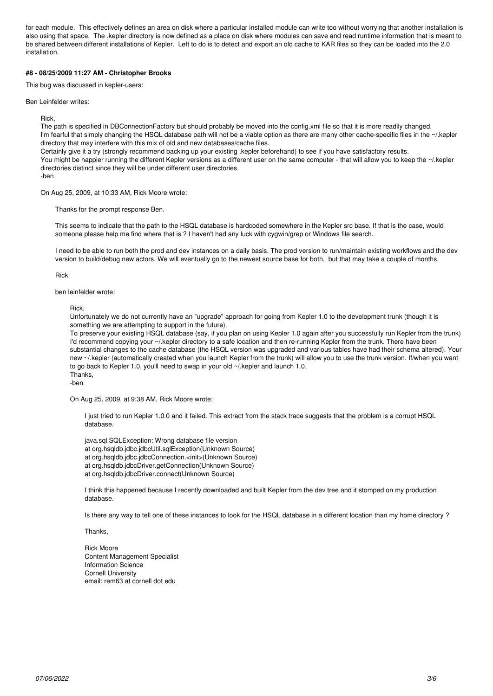for each module. This effectively defines an area on disk where a particular installed module can write too without worrying that another installation is also using that space. The .kepler directory is now defined as a place on disk where modules can save and read runtime information that is meant to be shared between different installations of Kepler. Left to do is to detect and export an old cache to KAR files so they can be loaded into the 2.0 installation.

# **#8 - 08/25/2009 11:27 AM - Christopher Brooks**

This bug was discussed in kepler-users:

Ben Leinfelder writes:

Rick,

The path is specified in DBConnectionFactory but should probably be moved into the config.xml file so that it is more readily changed. I'm fearful that simply changing the HSQL database path will not be a viable option as there are many other cache-specific files in the ~/.kepler directory that may interfere with this mix of old and new databases/cache files.

Certainly give it a try (strongly recommend backing up your existing .kepler beforehand) to see if you have satisfactory results.

You might be happier running the different Kepler versions as a different user on the same computer - that will allow you to keep the ~/.kepler directories distinct since they will be under different user directories.

-ben

On Aug 25, 2009, at 10:33 AM, Rick Moore wrote:

Thanks for the prompt response Ben.

This seems to indicate that the path to the HSQL database is hardcoded somewhere in the Kepler src base. If that is the case, would someone please help me find where that is ? I haven't had any luck with cygwin/grep or Windows file search.

I need to be able to run both the prod and dev instances on a daily basis. The prod version to run/maintain existing workflows and the dev version to build/debug new actors. We will eventually go to the newest source base for both, but that may take a couple of months.

Rick

ben leinfelder wrote:

Rick,

Unfortunately we do not currently have an "upgrade" approach for going from Kepler 1.0 to the development trunk (though it is something we are attempting to support in the future).

To preserve your existing HSQL database (say, if you plan on using Kepler 1.0 again after you successfully run Kepler from the trunk) I'd recommend copying your ~/.kepler directory to a safe location and then re-running Kepler from the trunk. There have been substantial changes to the cache database (the HSQL version was upgraded and various tables have had their schema altered). Your new ~/.kepler (automatically created when you launch Kepler from the trunk) will allow you to use the trunk version. If/when you want to go back to Kepler 1.0, you'll need to swap in your old ~/.kepler and launch 1.0. Thanks,

-ben

On Aug 25, 2009, at 9:38 AM, Rick Moore wrote:

I just tried to run Kepler 1.0.0 and it failed. This extract from the stack trace suggests that the problem is a corrupt HSQL database.

java.sql.SQLException: Wrong database file version at org.hsqldb.jdbc.jdbcUtil.sqlException(Unknown Source) at org.hsqldb.jdbc.jdbcConnection.<init>(Unknown Source) at org.hsqldb.jdbcDriver.getConnection(Unknown Source) at org.hsqldb.jdbcDriver.connect(Unknown Source)

I think this happened because I recently downloaded and built Kepler from the dev tree and it stomped on my production database.

Is there any way to tell one of these instances to look for the HSQL database in a different location than my home directory?

Thanks,

Rick Moore Content Management Specialist Information Science Cornell University email: rem63 at cornell dot edu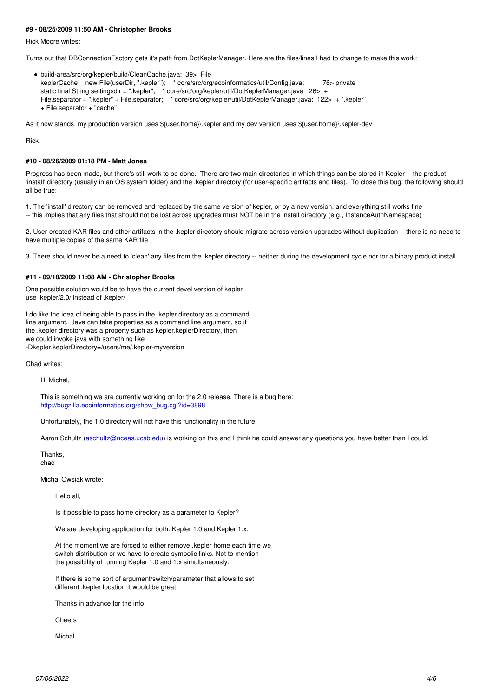## **#9 - 08/25/2009 11:50 AM - Christopher Brooks**

Rick Moore writes:

Turns out that DBConnectionFactory gets it's path from DotKeplerManager. Here are the files/lines I had to change to make this work:

build-area/src/org/kepler/build/CleanCache.java: 39> File keplerCache = new File(userDir, ".kepler"); \* core/src/org/ecoinformatics/util/Config.java: 76> private static final String settingsdir = ".kepler"; \* core/src/org/kepler/util/DotKeplerManager.java 26> + File.separator + ".kepler" + File.separator; \* core/src/org/kepler/util/DotKeplerManager.java: 122> + ".kepler" + File.separator + "cache"

As it now stands, my production version uses \${user.home}\.kepler and my dev version uses \${user.home}\.kepler-dev

Rick

#### **#10 - 08/26/2009 01:18 PM - Matt Jones**

Progress has been made, but there's still work to be done. There are two main directories in which things can be stored in Kepler -- the product 'install' directory (usually in an OS system folder) and the .kepler directory (for user-specific artifacts and files). To close this bug, the following should all be true:

1. The 'install' directory can be removed and replaced by the same version of kepler, or by a new version, and everything still works fine -- this implies that any files that should not be lost across upgrades must NOT be in the install directory (e.g., InstanceAuthNamespace)

2. User-created KAR files and other artifacts in the .kepler directory should migrate across version upgrades without duplication -- there is no need to have multiple copies of the same KAR file

3. There should never be a need to 'clean' any files from the .kepler directory -- neither during the development cycle nor for a binary product install

# **#11 - 09/18/2009 11:08 AM - Christopher Brooks**

One possible solution would be to have the current devel version of kepler use .kepler/2.0/ instead of .kepler/

I do like the idea of being able to pass in the .kepler directory as a command line argument. Java can take properties as a command line argument, so if the .kepler directory was a property such as kepler.keplerDirectory, then we could invoke java with something like -Dkepler.keplerDirectory=/users/me/.kepler-myversion

Chad writes:

Hi Michal,

This is something we are currently working on for the 2.0 release. There is a bug here: [http://bugzilla.ecoinformatics.org/show\\_bug.cgi?id=3898](http://bugzilla.ecoinformatics.org/show_bug.cgi?id=3898)

Unfortunately, the 1.0 directory will not have this functionality in the future.

Aaron Schultz ([aschultz@nceas.ucsb.edu](mailto:aschultz@nceas.ucsb.edu)) is working on this and I think he could answer any questions you have better than I could.

Thanks,

chad

Michal Owsiak wrote:

Hello all,

Is it possible to pass home directory as a parameter to Kepler?

We are developing application for both: Kepler 1.0 and Kepler 1.x.

At the moment we are forced to either remove .kepler home each time we switch distribution or we have to create symbolic links. Not to mention the possibility of running Kepler 1.0 and 1.x simultaneously.

If there is some sort of argument/switch/parameter that allows to set different .kepler location it would be great.

Thanks in advance for the info

Cheers

Michal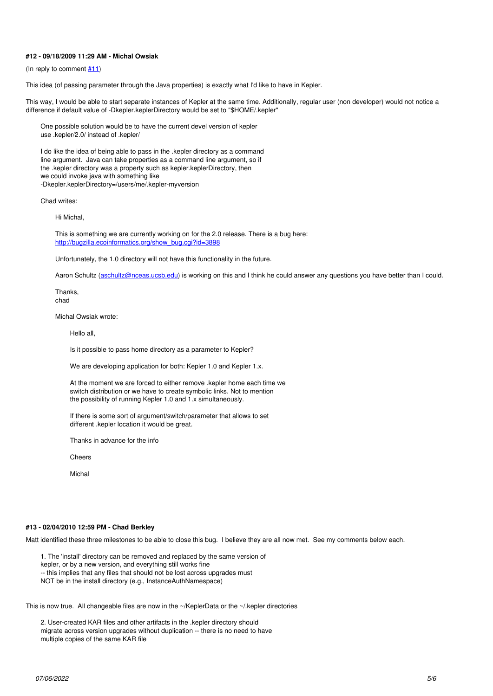## **#12 - 09/18/2009 11:29 AM - Michal Owsiak**

(In reply to comment  $#11$ )

This idea (of passing parameter through the Java properties) is exactly what I'd like to have in Kepler.

This way, I would be able to start separate instances of Kepler at the same time. Additionally, regular user (non developer) would not notice a difference if default value of -Dkepler.keplerDirectory would be set to "\$HOME/.kepler"

One possible solution would be to have the current devel version of kepler use .kepler/2.0/ instead of .kepler/

I do like the idea of being able to pass in the .kepler directory as a command line argument. Java can take properties as a command line argument, so if the .kepler directory was a property such as kepler.keplerDirectory, then we could invoke java with something like -Dkepler.keplerDirectory=/users/me/.kepler-myversion

Chad writes:

Hi Michal,

This is something we are currently working on for the 2.0 release. There is a bug here: [http://bugzilla.ecoinformatics.org/show\\_bug.cgi?id=3898](http://bugzilla.ecoinformatics.org/show_bug.cgi?id=3898)

Unfortunately, the 1.0 directory will not have this functionality in the future.

Aaron Schultz [\(aschultz@nceas.ucsb.edu\)](mailto:aschultz@nceas.ucsb.edu) is working on this and I think he could answer any questions you have better than I could.

Thanks, chad

Michal Owsiak wrote:

Hello all,

Is it possible to pass home directory as a parameter to Kepler?

We are developing application for both: Kepler 1.0 and Kepler 1.x.

At the moment we are forced to either remove .kepler home each time we switch distribution or we have to create symbolic links. Not to mention the possibility of running Kepler 1.0 and 1.x simultaneously.

If there is some sort of argument/switch/parameter that allows to set different .kepler location it would be great.

Thanks in advance for the info

**Cheers** 

Michal

## **#13 - 02/04/2010 12:59 PM - Chad Berkley**

Matt identified these three milestones to be able to close this bug. I believe they are all now met. See my comments below each.

1. The 'install' directory can be removed and replaced by the same version of kepler, or by a new version, and everything still works fine

-- this implies that any files that should not be lost across upgrades must

NOT be in the install directory (e.g., InstanceAuthNamespace)

This is now true. All changeable files are now in the ~/KeplerData or the ~/.kepler directories

2. User-created KAR files and other artifacts in the .kepler directory should migrate across version upgrades without duplication -- there is no need to have multiple copies of the same KAR file